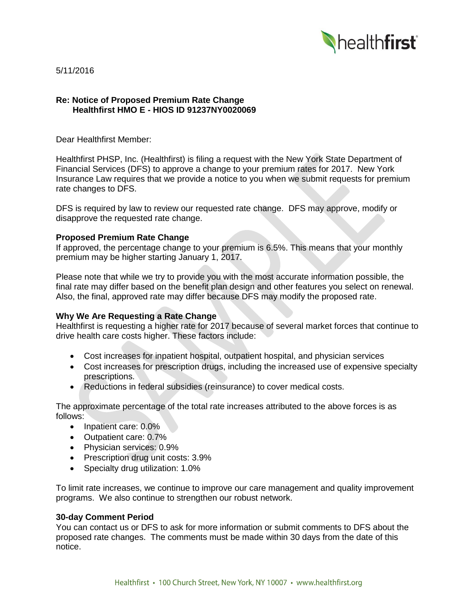

5/11/2016

## **Re: Notice of Proposed Premium Rate Change Healthfirst HMO E - HIOS ID 91237NY0020069**

Dear Healthfirst Member:

Healthfirst PHSP, Inc. (Healthfirst) is filing a request with the New York State Department of Financial Services (DFS) to approve a change to your premium rates for 2017. New York Insurance Law requires that we provide a notice to you when we submit requests for premium rate changes to DFS.

DFS is required by law to review our requested rate change. DFS may approve, modify or disapprove the requested rate change.

## **Proposed Premium Rate Change**

If approved, the percentage change to your premium is 6.5%. This means that your monthly premium may be higher starting January 1, 2017.

Please note that while we try to provide you with the most accurate information possible, the final rate may differ based on the benefit plan design and other features you select on renewal. Also, the final, approved rate may differ because DFS may modify the proposed rate.

# **Why We Are Requesting a Rate Change**

Healthfirst is requesting a higher rate for 2017 because of several market forces that continue to drive health care costs higher. These factors include:

- Cost increases for inpatient hospital, outpatient hospital, and physician services
- Cost increases for prescription drugs, including the increased use of expensive specialty prescriptions.
- Reductions in federal subsidies (reinsurance) to cover medical costs.

The approximate percentage of the total rate increases attributed to the above forces is as follows:

- Inpatient care: 0.0%
- Outpatient care: 0.7%
- Physician services: 0.9%
- Prescription drug unit costs: 3.9%
- Specialty drug utilization: 1.0%

To limit rate increases, we continue to improve our care management and quality improvement programs. We also continue to strengthen our robust network.

#### **30-day Comment Period**

You can contact us or DFS to ask for more information or submit comments to DFS about the proposed rate changes. The comments must be made within 30 days from the date of this notice.